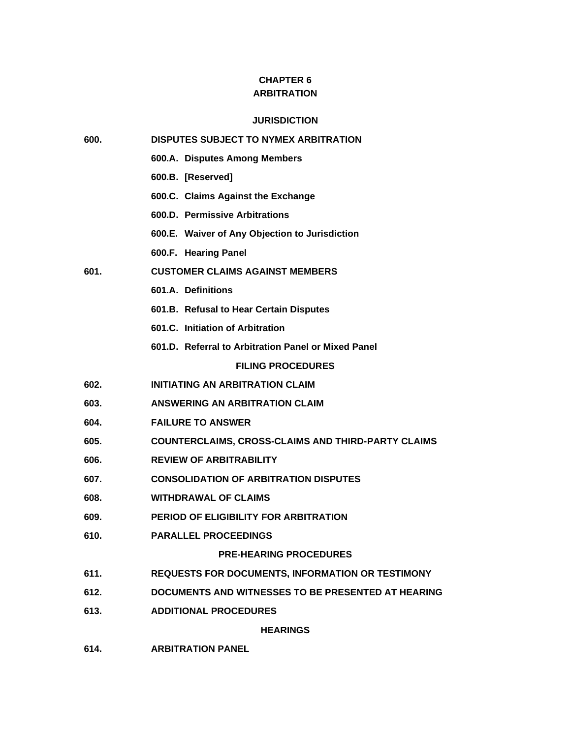# **CHAPTER 6 ARBITRATION**

# **JURISDICTION**

| 600.             | <b>DISPUTES SUBJECT TO NYMEX ARBITRATION</b>              |
|------------------|-----------------------------------------------------------|
|                  | 600.A. Disputes Among Members                             |
|                  | 600.B. [Reserved]                                         |
|                  | 600.C. Claims Against the Exchange                        |
|                  | 600.D. Permissive Arbitrations                            |
|                  | 600.E. Waiver of Any Objection to Jurisdiction            |
|                  | 600.F. Hearing Panel                                      |
| 601.             | <b>CUSTOMER CLAIMS AGAINST MEMBERS</b>                    |
|                  | 601.A. Definitions                                        |
|                  | 601.B. Refusal to Hear Certain Disputes                   |
|                  | 601.C. Initiation of Arbitration                          |
|                  | 601.D. Referral to Arbitration Panel or Mixed Panel       |
|                  | <b>FILING PROCEDURES</b>                                  |
| 602.             | <b>INITIATING AN ARBITRATION CLAIM</b>                    |
| 603.             | ANSWERING AN ARBITRATION CLAIM                            |
| 604.             | <b>FAILURE TO ANSWER</b>                                  |
| 605.             | <b>COUNTERCLAIMS, CROSS-CLAIMS AND THIRD-PARTY CLAIMS</b> |
| 606.             | <b>REVIEW OF ARBITRABILITY</b>                            |
| 607.             | <b>CONSOLIDATION OF ARBITRATION DISPUTES</b>              |
| 608.             | <b>WITHDRAWAL OF CLAIMS</b>                               |
| 609.             | PERIOD OF ELIGIBILITY FOR ARBITRATION                     |
| 610.             | <b>PARALLEL PROCEEDINGS</b>                               |
|                  | <b>PRE-HEARING PROCEDURES</b>                             |
| 611.             | REQUESTS FOR DOCUMENTS, INFORMATION OR TESTIMONY          |
| 612.             | DOCUMENTS AND WITNESSES TO BE PRESENTED AT HEARING        |
| 613.             | <b>ADDITIONAL PROCEDURES</b>                              |
|                  | <b>HEARINGS</b>                                           |
| C <sub>4</sub> A | ADDITD ATION DANEL                                        |

**614. ARBITRATION PANEL**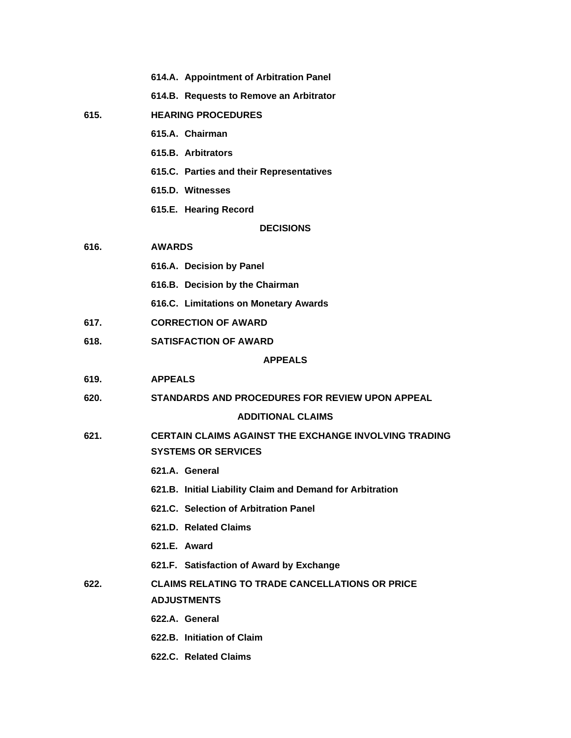|      | 614.A. Appointment of Arbitration Panel                                                    |
|------|--------------------------------------------------------------------------------------------|
|      | 614.B. Requests to Remove an Arbitrator                                                    |
| 615. | <b>HEARING PROCEDURES</b>                                                                  |
|      | 615.A. Chairman                                                                            |
|      | 615.B. Arbitrators                                                                         |
|      | 615.C. Parties and their Representatives                                                   |
|      | 615.D. Witnesses                                                                           |
|      | 615.E. Hearing Record                                                                      |
|      | <b>DECISIONS</b>                                                                           |
| 616. | <b>AWARDS</b>                                                                              |
|      | 616.A. Decision by Panel                                                                   |
|      | 616.B. Decision by the Chairman                                                            |
|      | 616.C. Limitations on Monetary Awards                                                      |
| 617. | <b>CORRECTION OF AWARD</b>                                                                 |
| 618. | <b>SATISFACTION OF AWARD</b>                                                               |
|      | <b>APPEALS</b>                                                                             |
| 619. | <b>APPEALS</b>                                                                             |
| 620. | STANDARDS AND PROCEDURES FOR REVIEW UPON APPEAL                                            |
|      | <b>ADDITIONAL CLAIMS</b>                                                                   |
| 621. | <b>CERTAIN CLAIMS AGAINST THE EXCHANGE INVOLVING TRADING</b><br><b>SYSTEMS OR SERVICES</b> |
|      | 621.A. General                                                                             |
|      | 621.B. Initial Liability Claim and Demand for Arbitration                                  |
|      | 621.C. Selection of Arbitration Panel                                                      |
|      | 621.D. Related Claims                                                                      |
|      | 621.E. Award                                                                               |
|      | 621.F. Satisfaction of Award by Exchange                                                   |
| 622. | <b>CLAIMS RELATING TO TRADE CANCELLATIONS OR PRICE</b>                                     |
|      | <b>ADJUSTMENTS</b>                                                                         |
|      | 622.A. General                                                                             |
|      | 622.B. Initiation of Claim                                                                 |
|      | 622.C. Related Claims                                                                      |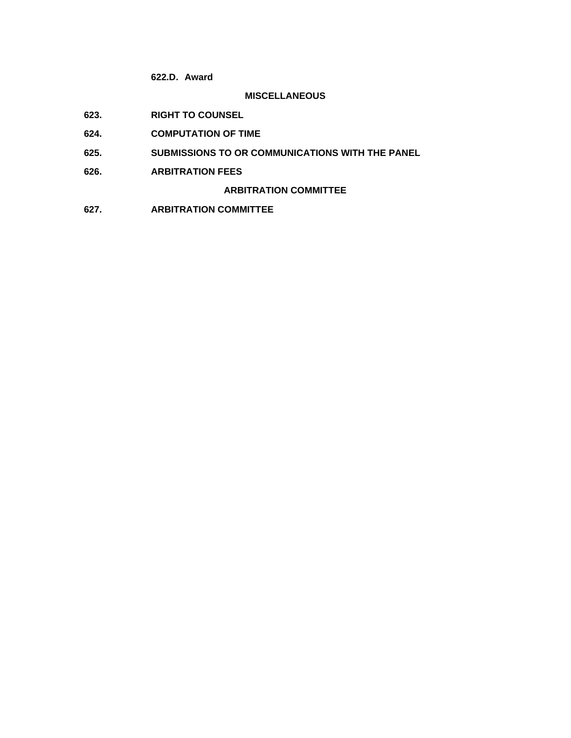**622.D. Award**

# **MISCELLANEOUS**

- **623. RIGHT TO COUNSEL**
- **624. COMPUTATION OF TIME**
- **625. SUBMISSIONS TO OR COMMUNICATIONS WITH THE PANEL**
- **626. ARBITRATION FEES**

**ARBITRATION COMMITTEE**

**627. ARBITRATION COMMITTEE**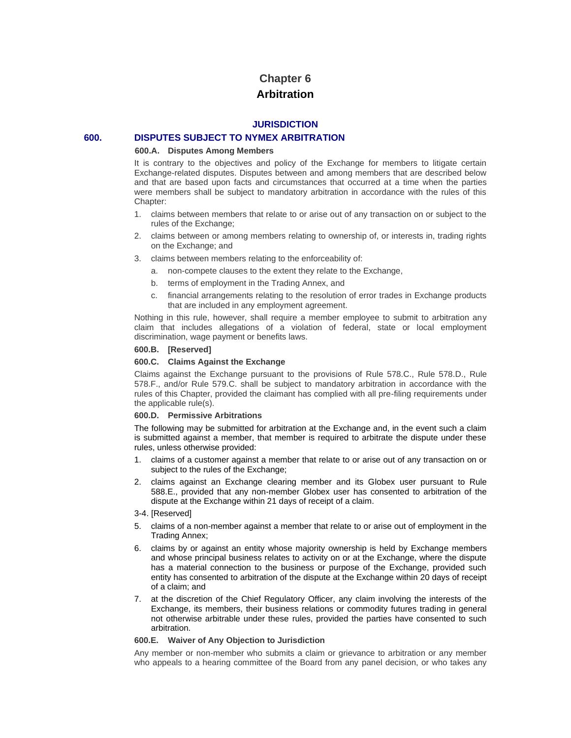# **Chapter 6 Arbitration**

# **JURISDICTION**

# **600. DISPUTES SUBJECT TO NYMEX ARBITRATION**

#### **600.A. Disputes Among Members**

It is contrary to the objectives and policy of the Exchange for members to litigate certain Exchange-related disputes. Disputes between and among members that are described below and that are based upon facts and circumstances that occurred at a time when the parties were members shall be subject to mandatory arbitration in accordance with the rules of this Chapter:

- 1. claims between members that relate to or arise out of any transaction on or subject to the rules of the Exchange;
- 2. claims between or among members relating to ownership of, or interests in, trading rights on the Exchange; and
- 3. claims between members relating to the enforceability of:
	- a. non-compete clauses to the extent they relate to the Exchange,
	- b. terms of employment in the Trading Annex, and
	- c. financial arrangements relating to the resolution of error trades in Exchange products that are included in any employment agreement.

Nothing in this rule, however, shall require a member employee to submit to arbitration any claim that includes allegations of a violation of federal, state or local employment discrimination, wage payment or benefits laws.

#### **600.B. [Reserved]**

#### **600.C. Claims Against the Exchange**

Claims against the Exchange pursuant to the provisions of Rule 578.C., Rule 578.D., Rule 578.F., and/or Rule 579.C. shall be subject to mandatory arbitration in accordance with the rules of this Chapter, provided the claimant has complied with all pre-filing requirements under the applicable rule(s).

#### **600.D. Permissive Arbitrations**

The following may be submitted for arbitration at the Exchange and, in the event such a claim is submitted against a member, that member is required to arbitrate the dispute under these rules, unless otherwise provided:

- 1. claims of a customer against a member that relate to or arise out of any transaction on or subject to the rules of the Exchange;
- 2. claims against an Exchange clearing member and its Globex user pursuant to Rule 588.E., provided that any non-member Globex user has consented to arbitration of the dispute at the Exchange within 21 days of receipt of a claim.
- 3-4. [Reserved]
- 5. claims of a non-member against a member that relate to or arise out of employment in the Trading Annex;
- 6. claims by or against an entity whose majority ownership is held by Exchange members and whose principal business relates to activity on or at the Exchange, where the dispute has a material connection to the business or purpose of the Exchange, provided such entity has consented to arbitration of the dispute at the Exchange within 20 days of receipt of a claim; and
- 7. at the discretion of the Chief Regulatory Officer, any claim involving the interests of the Exchange, its members, their business relations or commodity futures trading in general not otherwise arbitrable under these rules, provided the parties have consented to such arbitration.

#### **600.E. Waiver of Any Objection to Jurisdiction**

Any member or non-member who submits a claim or grievance to arbitration or any member who appeals to a hearing committee of the Board from any panel decision, or who takes any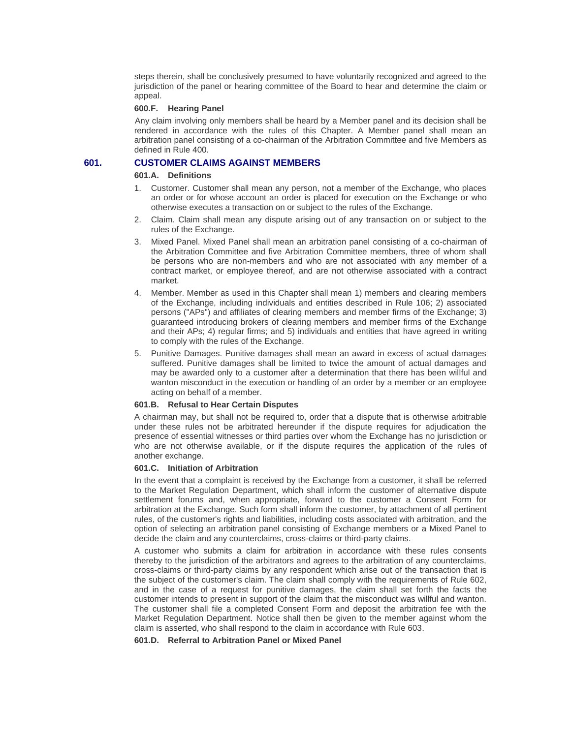steps therein, shall be conclusively presumed to have voluntarily recognized and agreed to the jurisdiction of the panel or hearing committee of the Board to hear and determine the claim or appeal.

### **600.F. Hearing Panel**

Any claim involving only members shall be heard by a Member panel and its decision shall be rendered in accordance with the rules of this Chapter. A Member panel shall mean an arbitration panel consisting of a co-chairman of the Arbitration Committee and five Members as defined in Rule 400.

# **601. CUSTOMER CLAIMS AGAINST MEMBERS**

# **601.A. Definitions**

- 1. Customer. Customer shall mean any person, not a member of the Exchange, who places an order or for whose account an order is placed for execution on the Exchange or who otherwise executes a transaction on or subject to the rules of the Exchange.
- 2. Claim. Claim shall mean any dispute arising out of any transaction on or subject to the rules of the Exchange.
- 3. Mixed Panel. Mixed Panel shall mean an arbitration panel consisting of a co-chairman of the Arbitration Committee and five Arbitration Committee members, three of whom shall be persons who are non-members and who are not associated with any member of a contract market, or employee thereof, and are not otherwise associated with a contract market.
- 4. Member. Member as used in this Chapter shall mean 1) members and clearing members of the Exchange, including individuals and entities described in Rule 106; 2) associated persons ("APs") and affiliates of clearing members and member firms of the Exchange; 3) guaranteed introducing brokers of clearing members and member firms of the Exchange and their APs; 4) regular firms; and 5) individuals and entities that have agreed in writing to comply with the rules of the Exchange.
- 5. Punitive Damages. Punitive damages shall mean an award in excess of actual damages suffered. Punitive damages shall be limited to twice the amount of actual damages and may be awarded only to a customer after a determination that there has been willful and wanton misconduct in the execution or handling of an order by a member or an employee acting on behalf of a member.

#### **601.B. Refusal to Hear Certain Disputes**

A chairman may, but shall not be required to, order that a dispute that is otherwise arbitrable under these rules not be arbitrated hereunder if the dispute requires for adjudication the presence of essential witnesses or third parties over whom the Exchange has no jurisdiction or who are not otherwise available, or if the dispute requires the application of the rules of another exchange.

#### **601.C. Initiation of Arbitration**

In the event that a complaint is received by the Exchange from a customer, it shall be referred to the Market Regulation Department, which shall inform the customer of alternative dispute settlement forums and, when appropriate, forward to the customer a Consent Form for arbitration at the Exchange. Such form shall inform the customer, by attachment of all pertinent rules, of the customer's rights and liabilities, including costs associated with arbitration, and the option of selecting an arbitration panel consisting of Exchange members or a Mixed Panel to decide the claim and any counterclaims, cross-claims or third-party claims.

A customer who submits a claim for arbitration in accordance with these rules consents thereby to the jurisdiction of the arbitrators and agrees to the arbitration of any counterclaims, cross-claims or third-party claims by any respondent which arise out of the transaction that is the subject of the customer's claim. The claim shall comply with the requirements of Rule 602, and in the case of a request for punitive damages, the claim shall set forth the facts the customer intends to present in support of the claim that the misconduct was willful and wanton. The customer shall file a completed Consent Form and deposit the arbitration fee with the Market Regulation Department. Notice shall then be given to the member against whom the claim is asserted, who shall respond to the claim in accordance with Rule 603.

# **601.D. Referral to Arbitration Panel or Mixed Panel**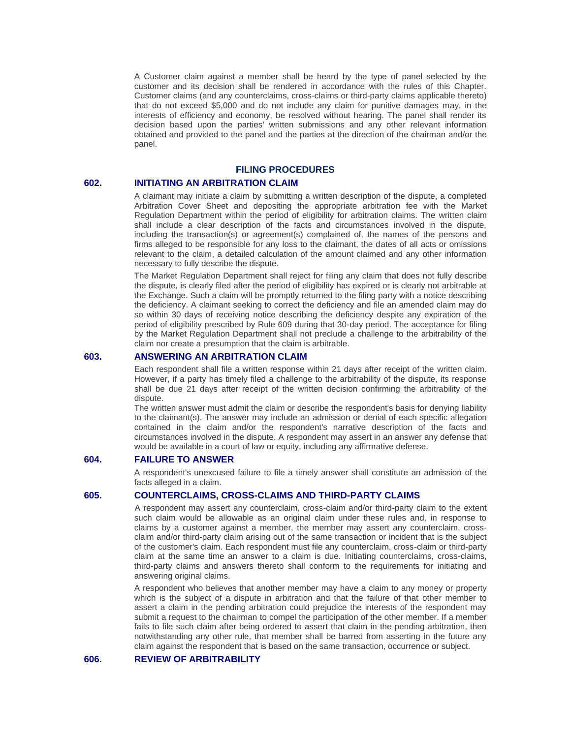A Customer claim against a member shall be heard by the type of panel selected by the customer and its decision shall be rendered in accordance with the rules of this Chapter. Customer claims (and any counterclaims, cross-claims or third-party claims applicable thereto) that do not exceed \$5,000 and do not include any claim for punitive damages may, in the interests of efficiency and economy, be resolved without hearing. The panel shall render its decision based upon the parties' written submissions and any other relevant information obtained and provided to the panel and the parties at the direction of the chairman and/or the panel.

# **FILING PROCEDURES**

# **602. INITIATING AN ARBITRATION CLAIM**

A claimant may initiate a claim by submitting a written description of the dispute, a completed Arbitration Cover Sheet and depositing the appropriate arbitration fee with the Market Regulation Department within the period of eligibility for arbitration claims. The written claim shall include a clear description of the facts and circumstances involved in the dispute, including the transaction(s) or agreement(s) complained of, the names of the persons and firms alleged to be responsible for any loss to the claimant, the dates of all acts or omissions relevant to the claim, a detailed calculation of the amount claimed and any other information necessary to fully describe the dispute.

The Market Regulation Department shall reject for filing any claim that does not fully describe the dispute, is clearly filed after the period of eligibility has expired or is clearly not arbitrable at the Exchange. Such a claim will be promptly returned to the filing party with a notice describing the deficiency. A claimant seeking to correct the deficiency and file an amended claim may do so within 30 days of receiving notice describing the deficiency despite any expiration of the period of eligibility prescribed by Rule 609 during that 30-day period. The acceptance for filing by the Market Regulation Department shall not preclude a challenge to the arbitrability of the claim nor create a presumption that the claim is arbitrable.

## **603. ANSWERING AN ARBITRATION CLAIM**

Each respondent shall file a written response within 21 days after receipt of the written claim. However, if a party has timely filed a challenge to the arbitrability of the dispute, its response shall be due 21 days after receipt of the written decision confirming the arbitrability of the dispute.

The written answer must admit the claim or describe the respondent's basis for denying liability to the claimant(s). The answer may include an admission or denial of each specific allegation contained in the claim and/or the respondent's narrative description of the facts and circumstances involved in the dispute. A respondent may assert in an answer any defense that would be available in a court of law or equity, including any affirmative defense.

### **604. FAILURE TO ANSWER**

A respondent's unexcused failure to file a timely answer shall constitute an admission of the facts alleged in a claim.

# **605. COUNTERCLAIMS, CROSS-CLAIMS AND THIRD-PARTY CLAIMS**

A respondent may assert any counterclaim, cross-claim and/or third-party claim to the extent such claim would be allowable as an original claim under these rules and, in response to claims by a customer against a member, the member may assert any counterclaim, crossclaim and/or third-party claim arising out of the same transaction or incident that is the subject of the customer's claim. Each respondent must file any counterclaim, cross-claim or third-party claim at the same time an answer to a claim is due. Initiating counterclaims, cross-claims, third-party claims and answers thereto shall conform to the requirements for initiating and answering original claims.

A respondent who believes that another member may have a claim to any money or property which is the subject of a dispute in arbitration and that the failure of that other member to assert a claim in the pending arbitration could prejudice the interests of the respondent may submit a request to the chairman to compel the participation of the other member. If a member fails to file such claim after being ordered to assert that claim in the pending arbitration, then notwithstanding any other rule, that member shall be barred from asserting in the future any claim against the respondent that is based on the same transaction, occurrence or subject.

#### **606. REVIEW OF ARBITRABILITY**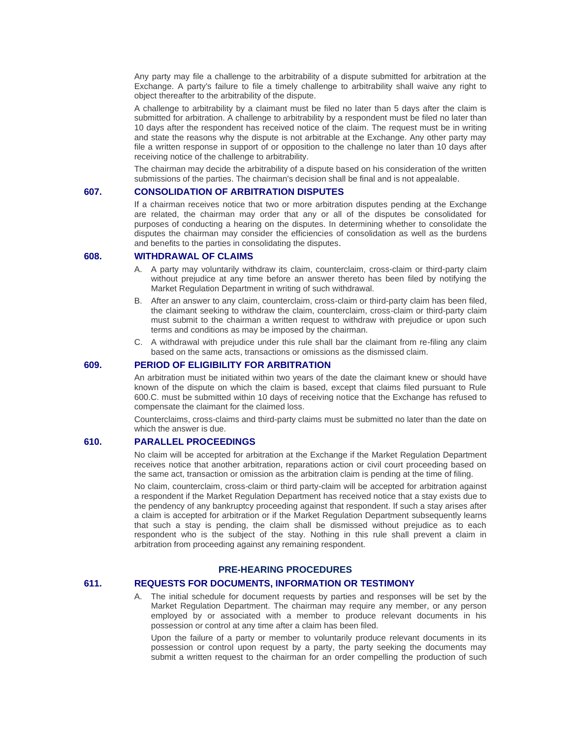Any party may file a challenge to the arbitrability of a dispute submitted for arbitration at the Exchange. A party's failure to file a timely challenge to arbitrability shall waive any right to object thereafter to the arbitrability of the dispute.

A challenge to arbitrability by a claimant must be filed no later than 5 days after the claim is submitted for arbitration. A challenge to arbitrability by a respondent must be filed no later than 10 days after the respondent has received notice of the claim. The request must be in writing and state the reasons why the dispute is not arbitrable at the Exchange. Any other party may file a written response in support of or opposition to the challenge no later than 10 days after receiving notice of the challenge to arbitrability.

The chairman may decide the arbitrability of a dispute based on his consideration of the written submissions of the parties. The chairman's decision shall be final and is not appealable.

# **607. CONSOLIDATION OF ARBITRATION DISPUTES**

If a chairman receives notice that two or more arbitration disputes pending at the Exchange are related, the chairman may order that any or all of the disputes be consolidated for purposes of conducting a hearing on the disputes. In determining whether to consolidate the disputes the chairman may consider the efficiencies of consolidation as well as the burdens and benefits to the parties in consolidating the disputes.

### **608. WITHDRAWAL OF CLAIMS**

- A. A party may voluntarily withdraw its claim, counterclaim, cross-claim or third-party claim without prejudice at any time before an answer thereto has been filed by notifying the Market Regulation Department in writing of such withdrawal.
- B. After an answer to any claim, counterclaim, cross-claim or third-party claim has been filed, the claimant seeking to withdraw the claim, counterclaim, cross-claim or third-party claim must submit to the chairman a written request to withdraw with prejudice or upon such terms and conditions as may be imposed by the chairman.
- C. A withdrawal with prejudice under this rule shall bar the claimant from re-filing any claim based on the same acts, transactions or omissions as the dismissed claim.

# **609. PERIOD OF ELIGIBILITY FOR ARBITRATION**

An arbitration must be initiated within two years of the date the claimant knew or should have known of the dispute on which the claim is based, except that claims filed pursuant to Rule 600.C. must be submitted within 10 days of receiving notice that the Exchange has refused to compensate the claimant for the claimed loss.

Counterclaims, cross-claims and third-party claims must be submitted no later than the date on which the answer is due.

# **610. PARALLEL PROCEEDINGS**

No claim will be accepted for arbitration at the Exchange if the Market Regulation Department receives notice that another arbitration, reparations action or civil court proceeding based on the same act, transaction or omission as the arbitration claim is pending at the time of filing.

No claim, counterclaim, cross-claim or third party-claim will be accepted for arbitration against a respondent if the Market Regulation Department has received notice that a stay exists due to the pendency of any bankruptcy proceeding against that respondent. If such a stay arises after a claim is accepted for arbitration or if the Market Regulation Department subsequently learns that such a stay is pending, the claim shall be dismissed without prejudice as to each respondent who is the subject of the stay. Nothing in this rule shall prevent a claim in arbitration from proceeding against any remaining respondent.

# **PRE-HEARING PROCEDURES**

#### **611. REQUESTS FOR DOCUMENTS, INFORMATION OR TESTIMONY**

A. The initial schedule for document requests by parties and responses will be set by the Market Regulation Department. The chairman may require any member, or any person employed by or associated with a member to produce relevant documents in his possession or control at any time after a claim has been filed.

Upon the failure of a party or member to voluntarily produce relevant documents in its possession or control upon request by a party, the party seeking the documents may submit a written request to the chairman for an order compelling the production of such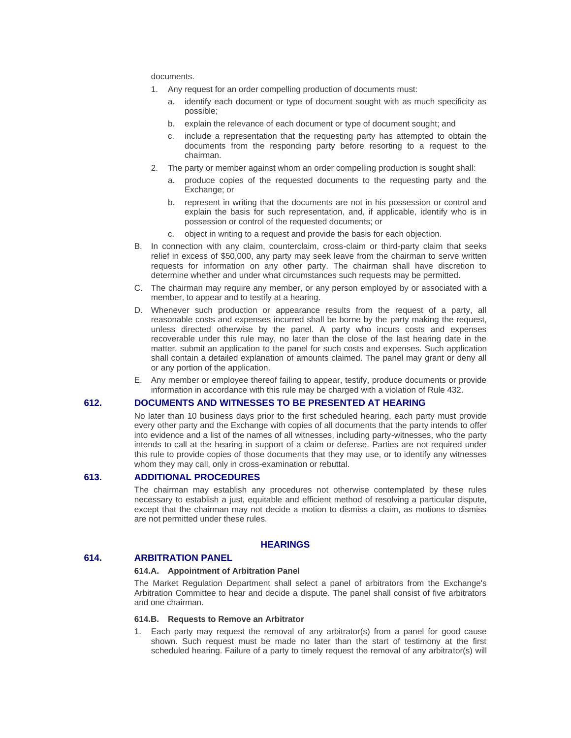documents.

- 1. Any request for an order compelling production of documents must:
	- a. identify each document or type of document sought with as much specificity as possible;
	- b. explain the relevance of each document or type of document sought; and
	- c. include a representation that the requesting party has attempted to obtain the documents from the responding party before resorting to a request to the chairman.
- 2. The party or member against whom an order compelling production is sought shall:
	- a. produce copies of the requested documents to the requesting party and the Exchange; or
	- b. represent in writing that the documents are not in his possession or control and explain the basis for such representation, and, if applicable, identify who is in possession or control of the requested documents; or
	- c. object in writing to a request and provide the basis for each objection.
- B. In connection with any claim, counterclaim, cross-claim or third-party claim that seeks relief in excess of \$50,000, any party may seek leave from the chairman to serve written requests for information on any other party. The chairman shall have discretion to determine whether and under what circumstances such requests may be permitted.
- C. The chairman may require any member, or any person employed by or associated with a member, to appear and to testify at a hearing.
- D. Whenever such production or appearance results from the request of a party, all reasonable costs and expenses incurred shall be borne by the party making the request, unless directed otherwise by the panel. A party who incurs costs and expenses recoverable under this rule may, no later than the close of the last hearing date in the matter, submit an application to the panel for such costs and expenses. Such application shall contain a detailed explanation of amounts claimed. The panel may grant or deny all or any portion of the application.
- E. Any member or employee thereof failing to appear, testify, produce documents or provide information in accordance with this rule may be charged with a violation of Rule 432.

# **612. DOCUMENTS AND WITNESSES TO BE PRESENTED AT HEARING**

No later than 10 business days prior to the first scheduled hearing, each party must provide every other party and the Exchange with copies of all documents that the party intends to offer into evidence and a list of the names of all witnesses, including party-witnesses, who the party intends to call at the hearing in support of a claim or defense. Parties are not required under this rule to provide copies of those documents that they may use, or to identify any witnesses whom they may call, only in cross-examination or rebuttal.

# **613. ADDITIONAL PROCEDURES**

The chairman may establish any procedures not otherwise contemplated by these rules necessary to establish a just, equitable and efficient method of resolving a particular dispute, except that the chairman may not decide a motion to dismiss a claim, as motions to dismiss are not permitted under these rules.

# **HEARINGS**

# **614. ARBITRATION PANEL**

# **614.A. Appointment of Arbitration Panel**

The Market Regulation Department shall select a panel of arbitrators from the Exchange's Arbitration Committee to hear and decide a dispute. The panel shall consist of five arbitrators and one chairman.

#### **614.B. Requests to Remove an Arbitrator**

1. Each party may request the removal of any arbitrator(s) from a panel for good cause shown. Such request must be made no later than the start of testimony at the first scheduled hearing. Failure of a party to timely request the removal of any arbitrator(s) will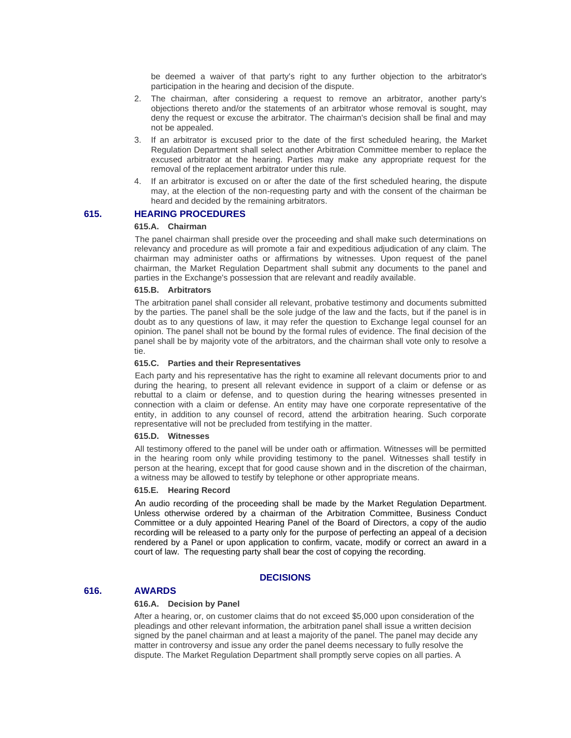be deemed a waiver of that party's right to any further objection to the arbitrator's participation in the hearing and decision of the dispute.

- 2. The chairman, after considering a request to remove an arbitrator, another party's objections thereto and/or the statements of an arbitrator whose removal is sought, may deny the request or excuse the arbitrator. The chairman's decision shall be final and may not be appealed.
- 3. If an arbitrator is excused prior to the date of the first scheduled hearing, the Market Regulation Department shall select another Arbitration Committee member to replace the excused arbitrator at the hearing. Parties may make any appropriate request for the removal of the replacement arbitrator under this rule.
- 4. If an arbitrator is excused on or after the date of the first scheduled hearing, the dispute may, at the election of the non-requesting party and with the consent of the chairman be heard and decided by the remaining arbitrators.

#### **615. HEARING PROCEDURES**

#### **615.A. Chairman**

The panel chairman shall preside over the proceeding and shall make such determinations on relevancy and procedure as will promote a fair and expeditious adjudication of any claim. The chairman may administer oaths or affirmations by witnesses. Upon request of the panel chairman, the Market Regulation Department shall submit any documents to the panel and parties in the Exchange's possession that are relevant and readily available.

#### **615.B. Arbitrators**

The arbitration panel shall consider all relevant, probative testimony and documents submitted by the parties. The panel shall be the sole judge of the law and the facts, but if the panel is in doubt as to any questions of law, it may refer the question to Exchange legal counsel for an opinion. The panel shall not be bound by the formal rules of evidence. The final decision of the panel shall be by majority vote of the arbitrators, and the chairman shall vote only to resolve a tie.

#### **615.C. Parties and their Representatives**

Each party and his representative has the right to examine all relevant documents prior to and during the hearing, to present all relevant evidence in support of a claim or defense or as rebuttal to a claim or defense, and to question during the hearing witnesses presented in connection with a claim or defense. An entity may have one corporate representative of the entity, in addition to any counsel of record, attend the arbitration hearing. Such corporate representative will not be precluded from testifying in the matter.

#### **615.D. Witnesses**

All testimony offered to the panel will be under oath or affirmation. Witnesses will be permitted in the hearing room only while providing testimony to the panel. Witnesses shall testify in person at the hearing, except that for good cause shown and in the discretion of the chairman, a witness may be allowed to testify by telephone or other appropriate means.

#### **615.E. Hearing Record**

An audio recording of the proceeding shall be made by the Market Regulation Department. Unless otherwise ordered by a chairman of the Arbitration Committee, Business Conduct Committee or a duly appointed Hearing Panel of the Board of Directors, a copy of the audio recording will be released to a party only for the purpose of perfecting an appeal of a decision rendered by a Panel or upon application to confirm, vacate, modify or correct an award in a court of law. The requesting party shall bear the cost of copying the recording.

#### **DECISIONS**

# **616. AWARDS**

# **616.A. Decision by Panel**

After a hearing, or, on customer claims that do not exceed \$5,000 upon consideration of the pleadings and other relevant information, the arbitration panel shall issue a written decision signed by the panel chairman and at least a majority of the panel. The panel may decide any matter in controversy and issue any order the panel deems necessary to fully resolve the dispute. The Market Regulation Department shall promptly serve copies on all parties. A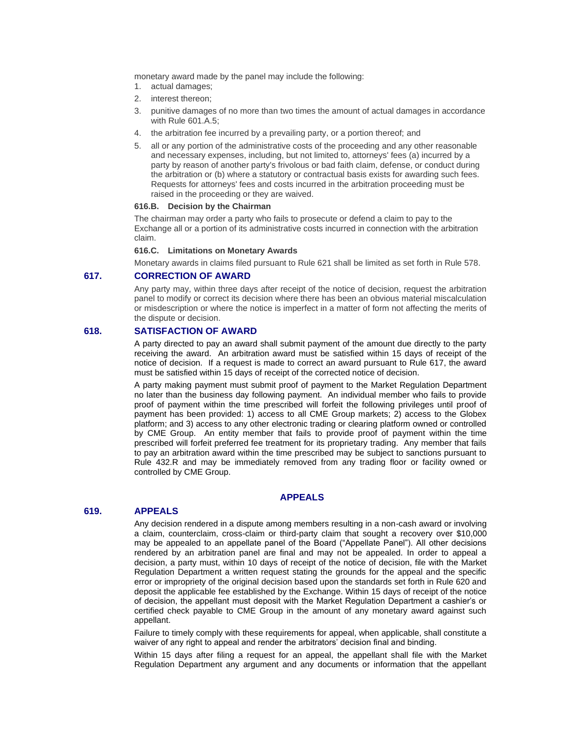monetary award made by the panel may include the following:

- 1. actual damages;
- 2. interest thereon;
- 3. punitive damages of no more than two times the amount of actual damages in accordance with Rule 601.A.5;
- 4. the arbitration fee incurred by a prevailing party, or a portion thereof; and
- 5. all or any portion of the administrative costs of the proceeding and any other reasonable and necessary expenses, including, but not limited to, attorneys' fees (a) incurred by a party by reason of another party's frivolous or bad faith claim, defense, or conduct during the arbitration or (b) where a statutory or contractual basis exists for awarding such fees. Requests for attorneys' fees and costs incurred in the arbitration proceeding must be raised in the proceeding or they are waived.

#### **616.B. Decision by the Chairman**

The chairman may order a party who fails to prosecute or defend a claim to pay to the Exchange all or a portion of its administrative costs incurred in connection with the arbitration claim.

#### **616.C. Limitations on Monetary Awards**

Monetary awards in claims filed pursuant to Rule 621 shall be limited as set forth in Rule 578.

# **617. CORRECTION OF AWARD**

Any party may, within three days after receipt of the notice of decision, request the arbitration panel to modify or correct its decision where there has been an obvious material miscalculation or misdescription or where the notice is imperfect in a matter of form not affecting the merits of the dispute or decision.

# **618. SATISFACTION OF AWARD**

A party directed to pay an award shall submit payment of the amount due directly to the party receiving the award. An arbitration award must be satisfied within 15 days of receipt of the notice of decision. If a request is made to correct an award pursuant to Rule 617, the award must be satisfied within 15 days of receipt of the corrected notice of decision.

A party making payment must submit proof of payment to the Market Regulation Department no later than the business day following payment. An individual member who fails to provide proof of payment within the time prescribed will forfeit the following privileges until proof of payment has been provided: 1) access to all CME Group markets; 2) access to the Globex platform; and 3) access to any other electronic trading or clearing platform owned or controlled by CME Group. An entity member that fails to provide proof of payment within the time prescribed will forfeit preferred fee treatment for its proprietary trading. Any member that fails to pay an arbitration award within the time prescribed may be subject to sanctions pursuant to Rule 432.R and may be immediately removed from any trading floor or facility owned or controlled by CME Group.

#### **APPEALS**

#### **619. APPEALS**

Any decision rendered in a dispute among members resulting in a non-cash award or involving a claim, counterclaim, cross-claim or third-party claim that sought a recovery over \$10,000 may be appealed to an appellate panel of the Board ("Appellate Panel"). All other decisions rendered by an arbitration panel are final and may not be appealed. In order to appeal a decision, a party must, within 10 days of receipt of the notice of decision, file with the Market Regulation Department a written request stating the grounds for the appeal and the specific error or impropriety of the original decision based upon the standards set forth in Rule 620 and deposit the applicable fee established by the Exchange. Within 15 days of receipt of the notice of decision, the appellant must deposit with the Market Regulation Department a cashier's or certified check payable to CME Group in the amount of any monetary award against such appellant.

Failure to timely comply with these requirements for appeal, when applicable, shall constitute a waiver of any right to appeal and render the arbitrators' decision final and binding.

Within 15 days after filing a request for an appeal, the appellant shall file with the Market Regulation Department any argument and any documents or information that the appellant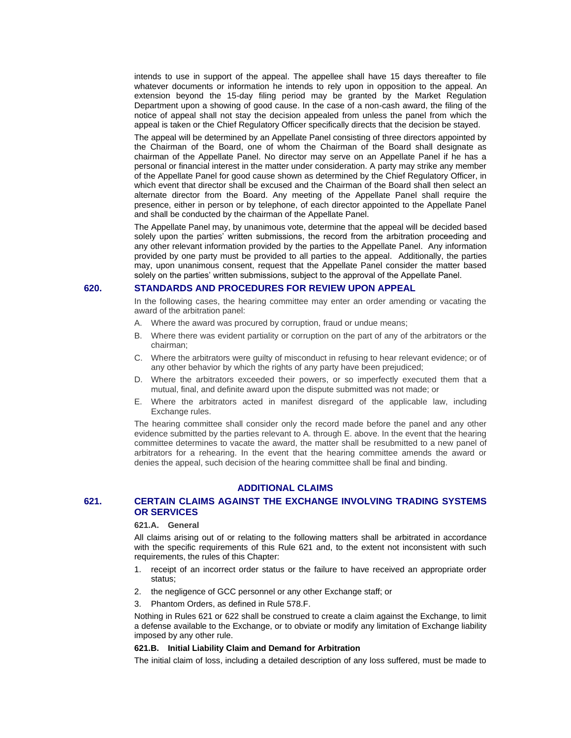intends to use in support of the appeal. The appellee shall have 15 days thereafter to file whatever documents or information he intends to rely upon in opposition to the appeal. An extension beyond the 15-day filing period may be granted by the Market Regulation Department upon a showing of good cause. In the case of a non-cash award, the filing of the notice of appeal shall not stay the decision appealed from unless the panel from which the appeal is taken or the Chief Regulatory Officer specifically directs that the decision be stayed.

The appeal will be determined by an Appellate Panel consisting of three directors appointed by the Chairman of the Board, one of whom the Chairman of the Board shall designate as chairman of the Appellate Panel. No director may serve on an Appellate Panel if he has a personal or financial interest in the matter under consideration. A party may strike any member of the Appellate Panel for good cause shown as determined by the Chief Regulatory Officer, in which event that director shall be excused and the Chairman of the Board shall then select an alternate director from the Board. Any meeting of the Appellate Panel shall require the presence, either in person or by telephone, of each director appointed to the Appellate Panel and shall be conducted by the chairman of the Appellate Panel.

The Appellate Panel may, by unanimous vote, determine that the appeal will be decided based solely upon the parties' written submissions, the record from the arbitration proceeding and any other relevant information provided by the parties to the Appellate Panel. Any information provided by one party must be provided to all parties to the appeal. Additionally, the parties may, upon unanimous consent, request that the Appellate Panel consider the matter based solely on the parties' written submissions, subject to the approval of the Appellate Panel.

## **620. STANDARDS AND PROCEDURES FOR REVIEW UPON APPEAL**

In the following cases, the hearing committee may enter an order amending or vacating the award of the arbitration panel:

- A. Where the award was procured by corruption, fraud or undue means;
- B. Where there was evident partiality or corruption on the part of any of the arbitrators or the chairman;
- C. Where the arbitrators were guilty of misconduct in refusing to hear relevant evidence; or of any other behavior by which the rights of any party have been prejudiced;
- D. Where the arbitrators exceeded their powers, or so imperfectly executed them that a mutual, final, and definite award upon the dispute submitted was not made; or
- E. Where the arbitrators acted in manifest disregard of the applicable law, including Exchange rules.

The hearing committee shall consider only the record made before the panel and any other evidence submitted by the parties relevant to A. through E. above. In the event that the hearing committee determines to vacate the award, the matter shall be resubmitted to a new panel of arbitrators for a rehearing. In the event that the hearing committee amends the award or denies the appeal, such decision of the hearing committee shall be final and binding.

# **ADDITIONAL CLAIMS**

# **621. CERTAIN CLAIMS AGAINST THE EXCHANGE INVOLVING TRADING SYSTEMS OR SERVICES**

# **621.A. General**

All claims arising out of or relating to the following matters shall be arbitrated in accordance with the specific requirements of this Rule 621 and, to the extent not inconsistent with such requirements, the rules of this Chapter:

- 1. receipt of an incorrect order status or the failure to have received an appropriate order status;
- 2. the negligence of GCC personnel or any other Exchange staff; or
- 3. Phantom Orders, as defined in Rule 578.F.

Nothing in Rules 621 or 622 shall be construed to create a claim against the Exchange, to limit a defense available to the Exchange, or to obviate or modify any limitation of Exchange liability imposed by any other rule.

#### **621.B. Initial Liability Claim and Demand for Arbitration**

The initial claim of loss, including a detailed description of any loss suffered, must be made to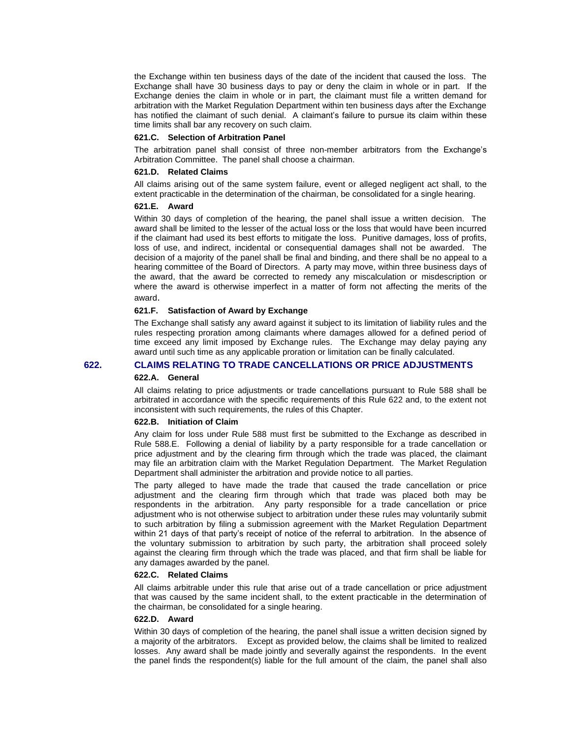the Exchange within ten business days of the date of the incident that caused the loss. The Exchange shall have 30 business days to pay or deny the claim in whole or in part. If the Exchange denies the claim in whole or in part, the claimant must file a written demand for arbitration with the Market Regulation Department within ten business days after the Exchange has notified the claimant of such denial. A claimant's failure to pursue its claim within these time limits shall bar any recovery on such claim.

#### **621.C. Selection of Arbitration Panel**

The arbitration panel shall consist of three non-member arbitrators from the Exchange's Arbitration Committee. The panel shall choose a chairman.

#### **621.D. Related Claims**

All claims arising out of the same system failure, event or alleged negligent act shall, to the extent practicable in the determination of the chairman, be consolidated for a single hearing.

#### **621.E. Award**

Within 30 days of completion of the hearing, the panel shall issue a written decision. The award shall be limited to the lesser of the actual loss or the loss that would have been incurred if the claimant had used its best efforts to mitigate the loss. Punitive damages, loss of profits, loss of use, and indirect, incidental or consequential damages shall not be awarded. The decision of a majority of the panel shall be final and binding, and there shall be no appeal to a hearing committee of the Board of Directors. A party may move, within three business days of the award, that the award be corrected to remedy any miscalculation or misdescription or where the award is otherwise imperfect in a matter of form not affecting the merits of the award.

# **621.F. Satisfaction of Award by Exchange**

The Exchange shall satisfy any award against it subject to its limitation of liability rules and the rules respecting proration among claimants where damages allowed for a defined period of time exceed any limit imposed by Exchange rules. The Exchange may delay paying any award until such time as any applicable proration or limitation can be finally calculated.

### **622. CLAIMS RELATING TO TRADE CANCELLATIONS OR PRICE ADJUSTMENTS**

#### **622.A. General**

All claims relating to price adjustments or trade cancellations pursuant to Rule 588 shall be arbitrated in accordance with the specific requirements of this Rule 622 and, to the extent not inconsistent with such requirements, the rules of this Chapter.

#### **622.B. Initiation of Claim**

Any claim for loss under Rule 588 must first be submitted to the Exchange as described in Rule 588.E. Following a denial of liability by a party responsible for a trade cancellation or price adjustment and by the clearing firm through which the trade was placed, the claimant may file an arbitration claim with the Market Regulation Department. The Market Regulation Department shall administer the arbitration and provide notice to all parties.

The party alleged to have made the trade that caused the trade cancellation or price adjustment and the clearing firm through which that trade was placed both may be respondents in the arbitration. Any party responsible for a trade cancellation or price adjustment who is not otherwise subject to arbitration under these rules may voluntarily submit to such arbitration by filing a submission agreement with the Market Regulation Department within 21 days of that party's receipt of notice of the referral to arbitration. In the absence of the voluntary submission to arbitration by such party, the arbitration shall proceed solely against the clearing firm through which the trade was placed, and that firm shall be liable for any damages awarded by the panel.

# **622.C. Related Claims**

All claims arbitrable under this rule that arise out of a trade cancellation or price adjustment that was caused by the same incident shall, to the extent practicable in the determination of the chairman, be consolidated for a single hearing.

#### **622.D. Award**

Within 30 days of completion of the hearing, the panel shall issue a written decision signed by a majority of the arbitrators. Except as provided below, the claims shall be limited to realized losses. Any award shall be made jointly and severally against the respondents. In the event the panel finds the respondent(s) liable for the full amount of the claim, the panel shall also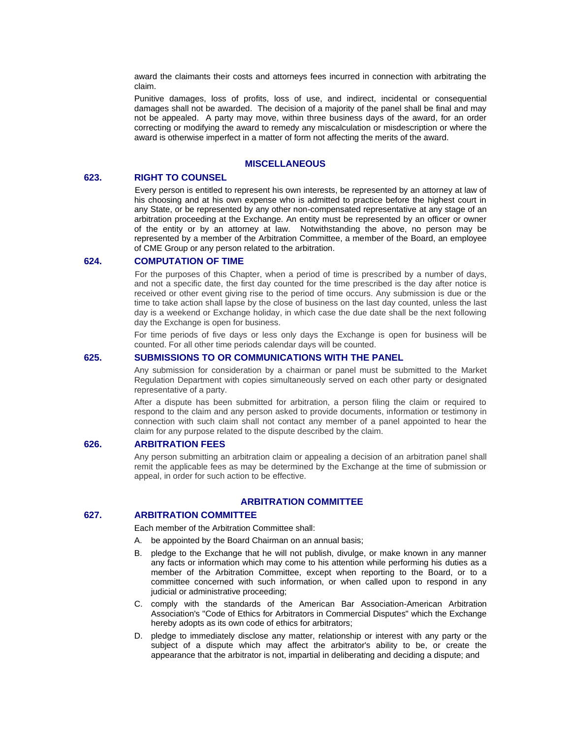award the claimants their costs and attorneys fees incurred in connection with arbitrating the claim.

Punitive damages, loss of profits, loss of use, and indirect, incidental or consequential damages shall not be awarded. The decision of a majority of the panel shall be final and may not be appealed. A party may move, within three business days of the award, for an order correcting or modifying the award to remedy any miscalculation or misdescription or where the award is otherwise imperfect in a matter of form not affecting the merits of the award.

# **MISCELLANEOUS**

# **623. RIGHT TO COUNSEL**

Every person is entitled to represent his own interests, be represented by an attorney at law of his choosing and at his own expense who is admitted to practice before the highest court in any State, or be represented by any other non-compensated representative at any stage of an arbitration proceeding at the Exchange. An entity must be represented by an officer or owner of the entity or by an attorney at law. Notwithstanding the above, no person may be represented by a member of the Arbitration Committee, a member of the Board, an employee of CME Group or any person related to the arbitration.

# **624. COMPUTATION OF TIME**

For the purposes of this Chapter, when a period of time is prescribed by a number of days, and not a specific date, the first day counted for the time prescribed is the day after notice is received or other event giving rise to the period of time occurs. Any submission is due or the time to take action shall lapse by the close of business on the last day counted, unless the last day is a weekend or Exchange holiday, in which case the due date shall be the next following day the Exchange is open for business.

For time periods of five days or less only days the Exchange is open for business will be counted. For all other time periods calendar days will be counted.

# **625. SUBMISSIONS TO OR COMMUNICATIONS WITH THE PANEL**

Any submission for consideration by a chairman or panel must be submitted to the Market Regulation Department with copies simultaneously served on each other party or designated representative of a party.

After a dispute has been submitted for arbitration, a person filing the claim or required to respond to the claim and any person asked to provide documents, information or testimony in connection with such claim shall not contact any member of a panel appointed to hear the claim for any purpose related to the dispute described by the claim.

# **626. ARBITRATION FEES**

Any person submitting an arbitration claim or appealing a decision of an arbitration panel shall remit the applicable fees as may be determined by the Exchange at the time of submission or appeal, in order for such action to be effective.

# **ARBITRATION COMMITTEE**

# **627. ARBITRATION COMMITTEE**

Each member of the Arbitration Committee shall:

- A. be appointed by the Board Chairman on an annual basis;
- B. pledge to the Exchange that he will not publish, divulge, or make known in any manner any facts or information which may come to his attention while performing his duties as a member of the Arbitration Committee, except when reporting to the Board, or to a committee concerned with such information, or when called upon to respond in any judicial or administrative proceeding;
- C. comply with the standards of the American Bar Association-American Arbitration Association's "Code of Ethics for Arbitrators in Commercial Disputes" which the Exchange hereby adopts as its own code of ethics for arbitrators;
- D. pledge to immediately disclose any matter, relationship or interest with any party or the subject of a dispute which may affect the arbitrator's ability to be, or create the appearance that the arbitrator is not, impartial in deliberating and deciding a dispute; and